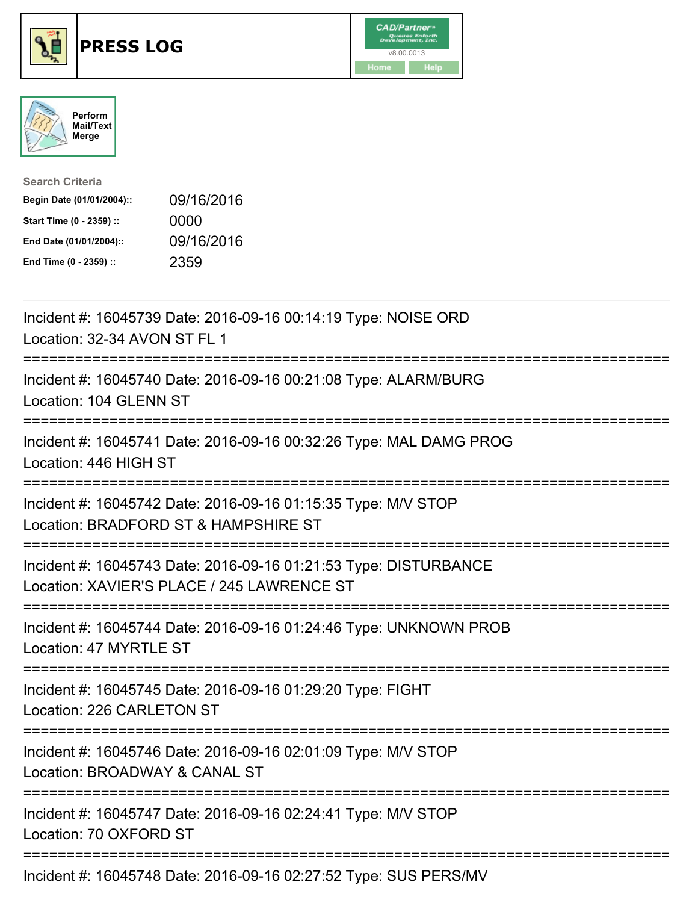





| <b>Search Criteria</b>    |            |
|---------------------------|------------|
| Begin Date (01/01/2004):: | 09/16/2016 |
| Start Time (0 - 2359) ::  | 0000       |
| End Date (01/01/2004)::   | 09/16/2016 |
| End Time (0 - 2359) ::    | 2359       |

| Incident #: 16045739 Date: 2016-09-16 00:14:19 Type: NOISE ORD<br>Location: 32-34 AVON ST FL 1<br>----------                                         |
|------------------------------------------------------------------------------------------------------------------------------------------------------|
| Incident #: 16045740 Date: 2016-09-16 00:21:08 Type: ALARM/BURG<br>Location: 104 GLENN ST                                                            |
| Incident #: 16045741 Date: 2016-09-16 00:32:26 Type: MAL DAMG PROG<br>Location: 446 HIGH ST<br>=================                                     |
| Incident #: 16045742 Date: 2016-09-16 01:15:35 Type: M/V STOP<br>Location: BRADFORD ST & HAMPSHIRE ST                                                |
| Incident #: 16045743 Date: 2016-09-16 01:21:53 Type: DISTURBANCE<br>Location: XAVIER'S PLACE / 245 LAWRENCE ST<br>:================================= |
| Incident #: 16045744 Date: 2016-09-16 01:24:46 Type: UNKNOWN PROB<br>Location: 47 MYRTLE ST                                                          |
| Incident #: 16045745 Date: 2016-09-16 01:29:20 Type: FIGHT<br>Location: 226 CARLETON ST                                                              |
| Incident #: 16045746 Date: 2016-09-16 02:01:09 Type: M/V STOP<br>Location: BROADWAY & CANAL ST<br>:========================                          |
| Incident #: 16045747 Date: 2016-09-16 02:24:41 Type: M/V STOP<br>Location: 70 OXFORD ST                                                              |
| Incident #: 16045748 Date: 2016-09-16 02:27:52 Type: SUS PERS/MV                                                                                     |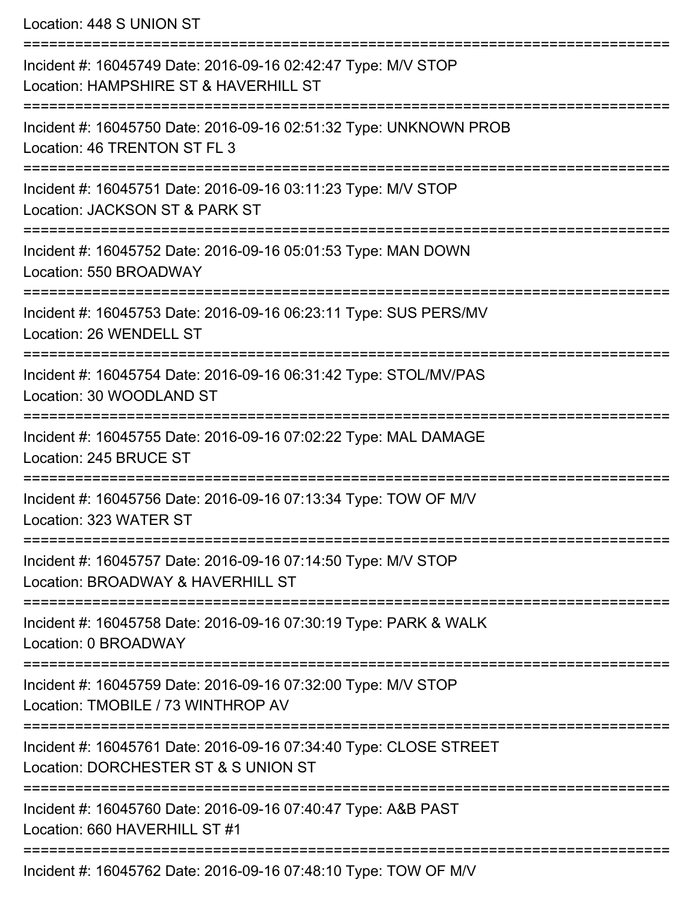Location: 448 S UNION ST

| Incident #: 16045749 Date: 2016-09-16 02:42:47 Type: M/V STOP<br>Location: HAMPSHIRE ST & HAVERHILL ST    |
|-----------------------------------------------------------------------------------------------------------|
| Incident #: 16045750 Date: 2016-09-16 02:51:32 Type: UNKNOWN PROB<br>Location: 46 TRENTON ST FL 3         |
| Incident #: 16045751 Date: 2016-09-16 03:11:23 Type: M/V STOP<br>Location: JACKSON ST & PARK ST           |
| Incident #: 16045752 Date: 2016-09-16 05:01:53 Type: MAN DOWN<br>Location: 550 BROADWAY                   |
| Incident #: 16045753 Date: 2016-09-16 06:23:11 Type: SUS PERS/MV<br>Location: 26 WENDELL ST               |
| Incident #: 16045754 Date: 2016-09-16 06:31:42 Type: STOL/MV/PAS<br>Location: 30 WOODLAND ST              |
| Incident #: 16045755 Date: 2016-09-16 07:02:22 Type: MAL DAMAGE<br>Location: 245 BRUCE ST                 |
| Incident #: 16045756 Date: 2016-09-16 07:13:34 Type: TOW OF M/V<br>Location: 323 WATER ST                 |
| Incident #: 16045757 Date: 2016-09-16 07:14:50 Type: M/V STOP<br>Location: BROADWAY & HAVERHILL ST        |
| Incident #: 16045758 Date: 2016-09-16 07:30:19 Type: PARK & WALK<br>Location: 0 BROADWAY                  |
| Incident #: 16045759 Date: 2016-09-16 07:32:00 Type: M/V STOP<br>Location: TMOBILE / 73 WINTHROP AV       |
| Incident #: 16045761 Date: 2016-09-16 07:34:40 Type: CLOSE STREET<br>Location: DORCHESTER ST & S UNION ST |
| Incident #: 16045760 Date: 2016-09-16 07:40:47 Type: A&B PAST<br>Location: 660 HAVERHILL ST #1            |
| Incident #: 16045762 Date: 2016-09-16 07:48:10 Type: TOW OF M/V                                           |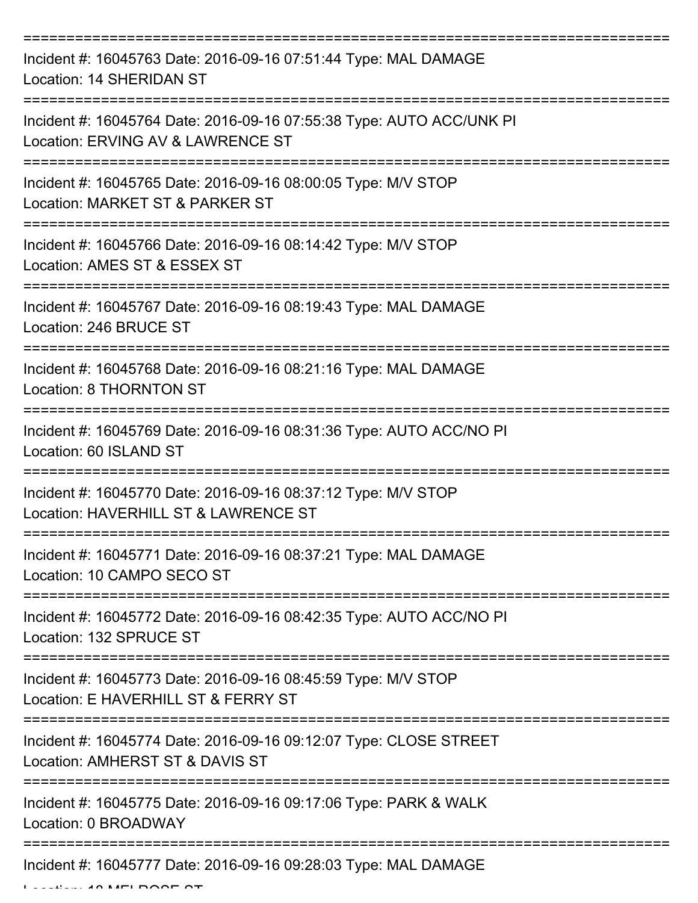| Incident #: 16045763 Date: 2016-09-16 07:51:44 Type: MAL DAMAGE<br>Location: 14 SHERIDAN ST                                                                 |
|-------------------------------------------------------------------------------------------------------------------------------------------------------------|
| Incident #: 16045764 Date: 2016-09-16 07:55:38 Type: AUTO ACC/UNK PI<br>Location: ERVING AV & LAWRENCE ST                                                   |
| Incident #: 16045765 Date: 2016-09-16 08:00:05 Type: M/V STOP<br>Location: MARKET ST & PARKER ST                                                            |
| Incident #: 16045766 Date: 2016-09-16 08:14:42 Type: M/V STOP<br>Location: AMES ST & ESSEX ST                                                               |
| Incident #: 16045767 Date: 2016-09-16 08:19:43 Type: MAL DAMAGE<br>Location: 246 BRUCE ST                                                                   |
| Incident #: 16045768 Date: 2016-09-16 08:21:16 Type: MAL DAMAGE<br>Location: 8 THORNTON ST                                                                  |
| Incident #: 16045769 Date: 2016-09-16 08:31:36 Type: AUTO ACC/NO PI<br>Location: 60 ISLAND ST                                                               |
| Incident #: 16045770 Date: 2016-09-16 08:37:12 Type: M/V STOP<br>Location: HAVERHILL ST & LAWRENCE ST                                                       |
| Incident #: 16045771 Date: 2016-09-16 08:37:21 Type: MAL DAMAGE<br>Location: 10 CAMPO SECO ST                                                               |
| Incident #: 16045772 Date: 2016-09-16 08:42:35 Type: AUTO ACC/NO PI<br>Location: 132 SPRUCE ST                                                              |
| Incident #: 16045773 Date: 2016-09-16 08:45:59 Type: M/V STOP<br>Location: E HAVERHILL ST & FERRY ST                                                        |
| Incident #: 16045774 Date: 2016-09-16 09:12:07 Type: CLOSE STREET<br>Location: AMHERST ST & DAVIS ST                                                        |
| Incident #: 16045775 Date: 2016-09-16 09:17:06 Type: PARK & WALK<br>Location: 0 BROADWAY<br>---------------------------<br>-------------------------------- |
| Incident #: 16045777 Date: 2016-09-16 09:28:03 Type: MAL DAMAGE                                                                                             |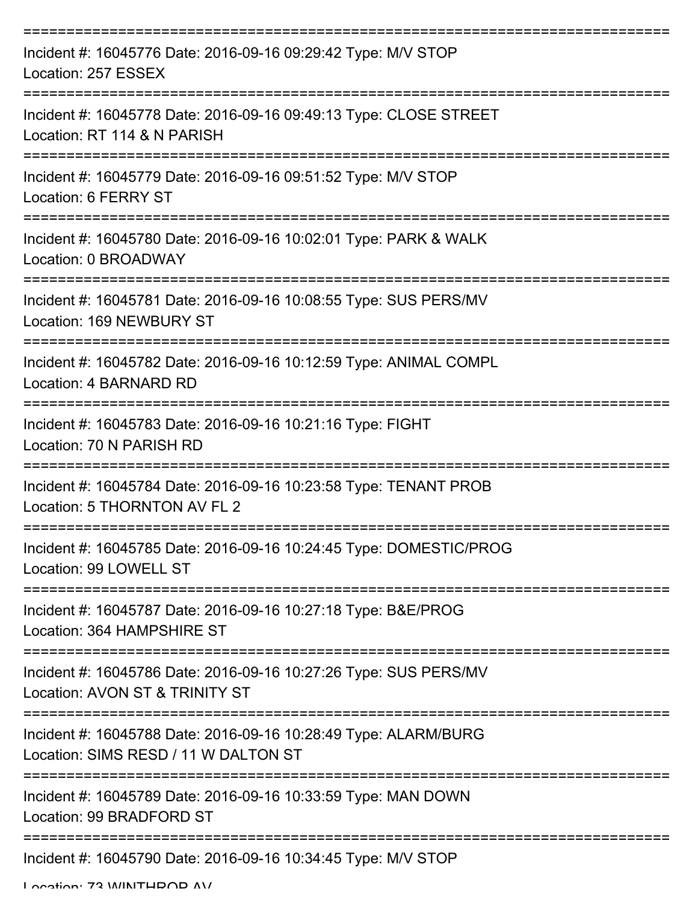| Incident #: 16045776 Date: 2016-09-16 09:29:42 Type: M/V STOP<br>Location: 257 ESSEX                    |
|---------------------------------------------------------------------------------------------------------|
| Incident #: 16045778 Date: 2016-09-16 09:49:13 Type: CLOSE STREET<br>Location: RT 114 & N PARISH        |
| Incident #: 16045779 Date: 2016-09-16 09:51:52 Type: M/V STOP<br>Location: 6 FERRY ST                   |
| Incident #: 16045780 Date: 2016-09-16 10:02:01 Type: PARK & WALK<br>Location: 0 BROADWAY                |
| Incident #: 16045781 Date: 2016-09-16 10:08:55 Type: SUS PERS/MV<br>Location: 169 NEWBURY ST            |
| Incident #: 16045782 Date: 2016-09-16 10:12:59 Type: ANIMAL COMPL<br>Location: 4 BARNARD RD             |
| Incident #: 16045783 Date: 2016-09-16 10:21:16 Type: FIGHT<br>Location: 70 N PARISH RD                  |
| Incident #: 16045784 Date: 2016-09-16 10:23:58 Type: TENANT PROB<br>Location: 5 THORNTON AV FL 2        |
| Incident #: 16045785 Date: 2016-09-16 10:24:45 Type: DOMESTIC/PROG<br>Location: 99 LOWELL ST            |
| Incident #: 16045787 Date: 2016-09-16 10:27:18 Type: B&E/PROG<br>Location: 364 HAMPSHIRE ST             |
| Incident #: 16045786 Date: 2016-09-16 10:27:26 Type: SUS PERS/MV<br>Location: AVON ST & TRINITY ST      |
| Incident #: 16045788 Date: 2016-09-16 10:28:49 Type: ALARM/BURG<br>Location: SIMS RESD / 11 W DALTON ST |
| Incident #: 16045789 Date: 2016-09-16 10:33:59 Type: MAN DOWN<br>Location: 99 BRADFORD ST               |
| Incident #: 16045790 Date: 2016-09-16 10:34:45 Type: M/V STOP                                           |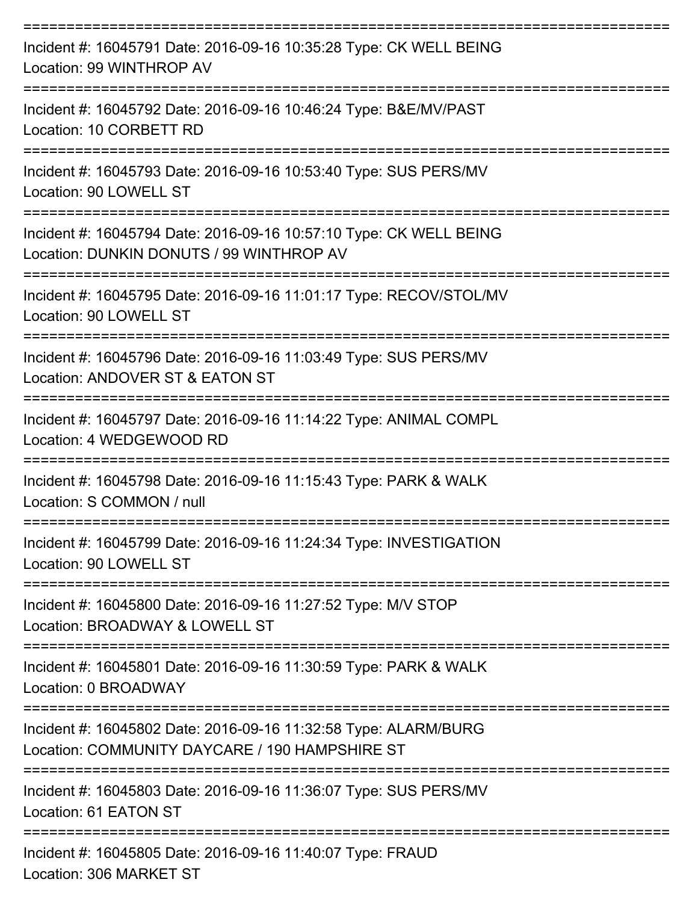| Incident #: 16045791 Date: 2016-09-16 10:35:28 Type: CK WELL BEING<br>Location: 99 WINTHROP AV                               |
|------------------------------------------------------------------------------------------------------------------------------|
| Incident #: 16045792 Date: 2016-09-16 10:46:24 Type: B&E/MV/PAST<br>Location: 10 CORBETT RD                                  |
| Incident #: 16045793 Date: 2016-09-16 10:53:40 Type: SUS PERS/MV<br>Location: 90 LOWELL ST                                   |
| Incident #: 16045794 Date: 2016-09-16 10:57:10 Type: CK WELL BEING<br>Location: DUNKIN DONUTS / 99 WINTHROP AV               |
| Incident #: 16045795 Date: 2016-09-16 11:01:17 Type: RECOV/STOL/MV<br>Location: 90 LOWELL ST                                 |
| Incident #: 16045796 Date: 2016-09-16 11:03:49 Type: SUS PERS/MV<br>Location: ANDOVER ST & EATON ST<br>--------------------- |
| ----------<br>Incident #: 16045797 Date: 2016-09-16 11:14:22 Type: ANIMAL COMPL<br>Location: 4 WEDGEWOOD RD                  |
| Incident #: 16045798 Date: 2016-09-16 11:15:43 Type: PARK & WALK<br>Location: S COMMON / null                                |
| Incident #: 16045799 Date: 2016-09-16 11:24:34 Type: INVESTIGATION<br>Location: 90 LOWELL ST                                 |
| Incident #: 16045800 Date: 2016-09-16 11:27:52 Type: M/V STOP<br>Location: BROADWAY & LOWELL ST                              |
| Incident #: 16045801 Date: 2016-09-16 11:30:59 Type: PARK & WALK<br>Location: 0 BROADWAY                                     |
| Incident #: 16045802 Date: 2016-09-16 11:32:58 Type: ALARM/BURG<br>Location: COMMUNITY DAYCARE / 190 HAMPSHIRE ST            |
| Incident #: 16045803 Date: 2016-09-16 11:36:07 Type: SUS PERS/MV<br>Location: 61 EATON ST                                    |
| Incident #: 16045805 Date: 2016-09-16 11:40:07 Type: FRAUD<br>Location: 306 MARKET ST                                        |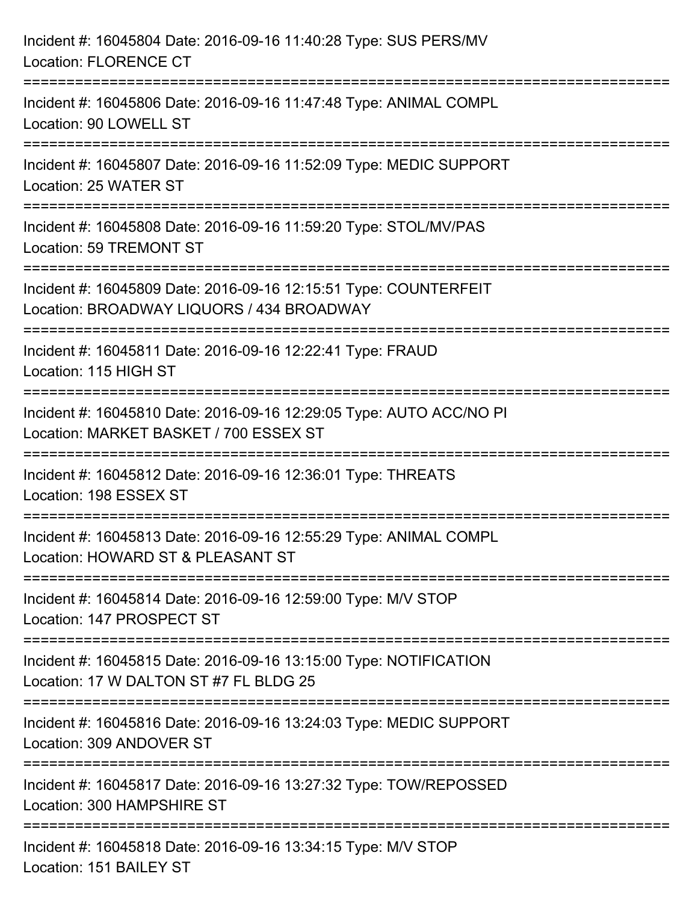| Incident #: 16045804 Date: 2016-09-16 11:40:28 Type: SUS PERS/MV<br><b>Location: FLORENCE CT</b>                                      |
|---------------------------------------------------------------------------------------------------------------------------------------|
| ======================================<br>Incident #: 16045806 Date: 2016-09-16 11:47:48 Type: ANIMAL COMPL<br>Location: 90 LOWELL ST |
| --------------------<br>Incident #: 16045807 Date: 2016-09-16 11:52:09 Type: MEDIC SUPPORT<br>Location: 25 WATER ST                   |
| Incident #: 16045808 Date: 2016-09-16 11:59:20 Type: STOL/MV/PAS<br>Location: 59 TREMONT ST                                           |
| Incident #: 16045809 Date: 2016-09-16 12:15:51 Type: COUNTERFEIT<br>Location: BROADWAY LIQUORS / 434 BROADWAY                         |
| Incident #: 16045811 Date: 2016-09-16 12:22:41 Type: FRAUD<br>Location: 115 HIGH ST                                                   |
| Incident #: 16045810 Date: 2016-09-16 12:29:05 Type: AUTO ACC/NO PI<br>Location: MARKET BASKET / 700 ESSEX ST                         |
| Incident #: 16045812 Date: 2016-09-16 12:36:01 Type: THREATS<br>Location: 198 ESSEX ST                                                |
| Incident #: 16045813 Date: 2016-09-16 12:55:29 Type: ANIMAL COMPL<br>Location: HOWARD ST & PLEASANT ST                                |
| Incident #: 16045814 Date: 2016-09-16 12:59:00 Type: M/V STOP<br>Location: 147 PROSPECT ST                                            |
| Incident #: 16045815 Date: 2016-09-16 13:15:00 Type: NOTIFICATION<br>Location: 17 W DALTON ST #7 FL BLDG 25                           |
| Incident #: 16045816 Date: 2016-09-16 13:24:03 Type: MEDIC SUPPORT<br>Location: 309 ANDOVER ST                                        |
| Incident #: 16045817 Date: 2016-09-16 13:27:32 Type: TOW/REPOSSED<br>Location: 300 HAMPSHIRE ST                                       |
| Incident #: 16045818 Date: 2016-09-16 13:34:15 Type: M/V STOP<br>Location: 151 BAILEY ST                                              |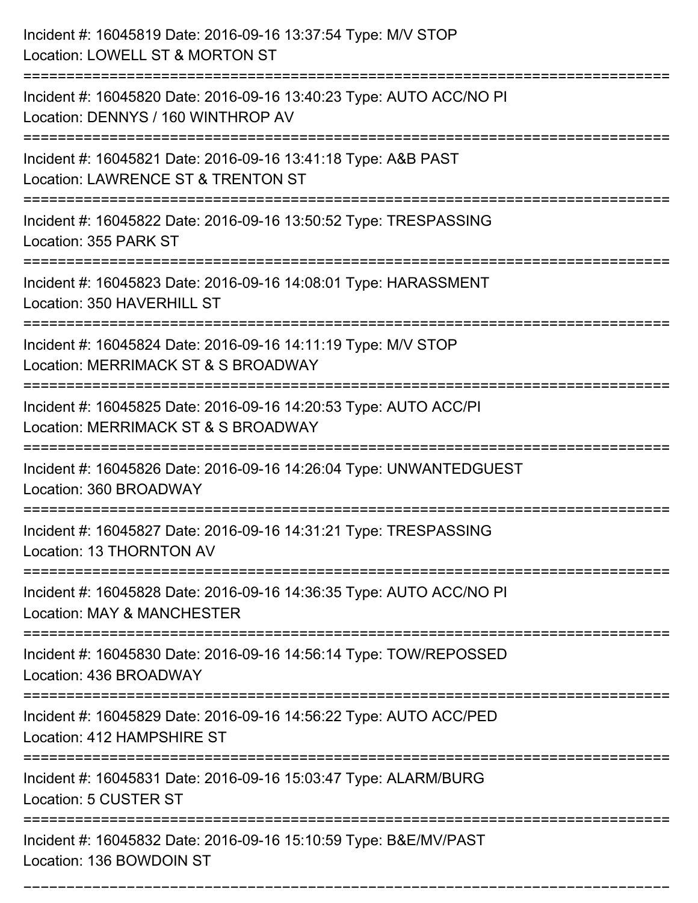| Incident #: 16045819 Date: 2016-09-16 13:37:54 Type: M/V STOP<br>Location: LOWELL ST & MORTON ST                                         |
|------------------------------------------------------------------------------------------------------------------------------------------|
| Incident #: 16045820 Date: 2016-09-16 13:40:23 Type: AUTO ACC/NO PI<br>Location: DENNYS / 160 WINTHROP AV                                |
| Incident #: 16045821 Date: 2016-09-16 13:41:18 Type: A&B PAST<br>Location: LAWRENCE ST & TRENTON ST                                      |
| Incident #: 16045822 Date: 2016-09-16 13:50:52 Type: TRESPASSING<br>Location: 355 PARK ST                                                |
| Incident #: 16045823 Date: 2016-09-16 14:08:01 Type: HARASSMENT<br>Location: 350 HAVERHILL ST                                            |
| Incident #: 16045824 Date: 2016-09-16 14:11:19 Type: M/V STOP<br>Location: MERRIMACK ST & S BROADWAY                                     |
| Incident #: 16045825 Date: 2016-09-16 14:20:53 Type: AUTO ACC/PI<br>Location: MERRIMACK ST & S BROADWAY                                  |
| Incident #: 16045826 Date: 2016-09-16 14:26:04 Type: UNWANTEDGUEST<br>Location: 360 BROADWAY                                             |
| Incident #: 16045827 Date: 2016-09-16 14:31:21 Type: TRESPASSING<br>Location: 13 THORNTON AV                                             |
| Incident #: 16045828 Date: 2016-09-16 14:36:35 Type: AUTO ACC/NO PI<br>Location: MAY & MANCHESTER<br>----------------------------------- |
| Incident #: 16045830 Date: 2016-09-16 14:56:14 Type: TOW/REPOSSED<br>Location: 436 BROADWAY                                              |
| Incident #: 16045829 Date: 2016-09-16 14:56:22 Type: AUTO ACC/PED<br>Location: 412 HAMPSHIRE ST                                          |
| Incident #: 16045831 Date: 2016-09-16 15:03:47 Type: ALARM/BURG<br>Location: 5 CUSTER ST                                                 |
| Incident #: 16045832 Date: 2016-09-16 15:10:59 Type: B&E/MV/PAST<br>Location: 136 BOWDOIN ST                                             |

===========================================================================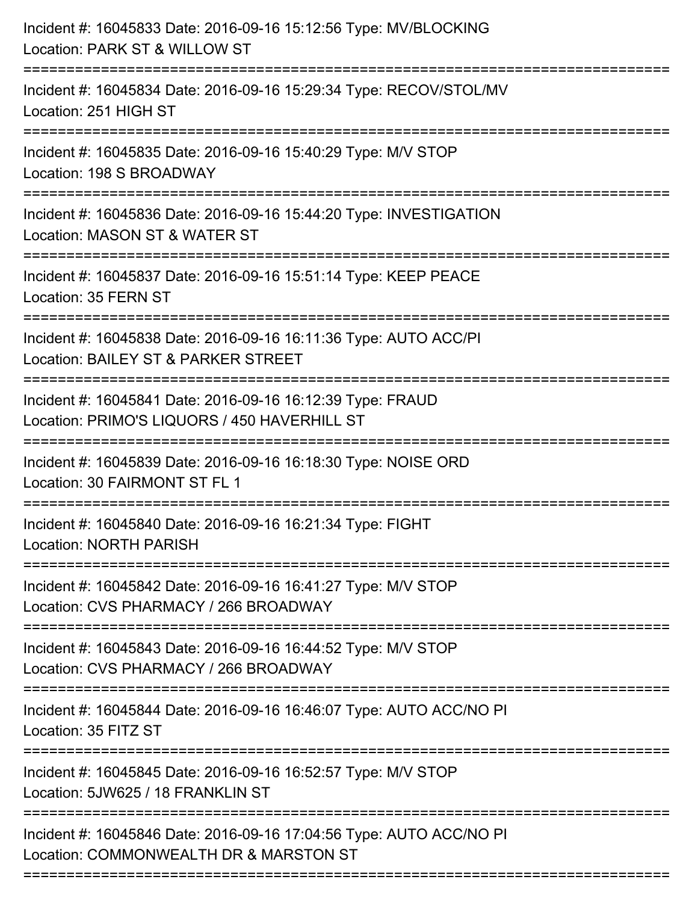| Incident #: 16045833 Date: 2016-09-16 15:12:56 Type: MV/BLOCKING<br>Location: PARK ST & WILLOW ST                                   |
|-------------------------------------------------------------------------------------------------------------------------------------|
| :======================<br>Incident #: 16045834 Date: 2016-09-16 15:29:34 Type: RECOV/STOL/MV<br>Location: 251 HIGH ST              |
| Incident #: 16045835 Date: 2016-09-16 15:40:29 Type: M/V STOP<br>Location: 198 S BROADWAY<br>=====================                  |
| Incident #: 16045836 Date: 2016-09-16 15:44:20 Type: INVESTIGATION<br>Location: MASON ST & WATER ST                                 |
| Incident #: 16045837 Date: 2016-09-16 15:51:14 Type: KEEP PEACE<br>Location: 35 FERN ST                                             |
| Incident #: 16045838 Date: 2016-09-16 16:11:36 Type: AUTO ACC/PI<br>Location: BAILEY ST & PARKER STREET<br>:====================    |
| Incident #: 16045841 Date: 2016-09-16 16:12:39 Type: FRAUD<br>Location: PRIMO'S LIQUORS / 450 HAVERHILL ST<br>===================== |
| Incident #: 16045839 Date: 2016-09-16 16:18:30 Type: NOISE ORD<br>Location: 30 FAIRMONT ST FL 1                                     |
| Incident #: 16045840 Date: 2016-09-16 16:21:34 Type: FIGHT<br><b>Location: NORTH PARISH</b>                                         |
| Incident #: 16045842 Date: 2016-09-16 16:41:27 Type: M/V STOP<br>Location: CVS PHARMACY / 266 BROADWAY                              |
| Incident #: 16045843 Date: 2016-09-16 16:44:52 Type: M/V STOP<br>Location: CVS PHARMACY / 266 BROADWAY                              |
| Incident #: 16045844 Date: 2016-09-16 16:46:07 Type: AUTO ACC/NO PI<br>Location: 35 FITZ ST                                         |
| Incident #: 16045845 Date: 2016-09-16 16:52:57 Type: M/V STOP<br>Location: 5JW625 / 18 FRANKLIN ST                                  |
| Incident #: 16045846 Date: 2016-09-16 17:04:56 Type: AUTO ACC/NO PI<br>Location: COMMONWEALTH DR & MARSTON ST                       |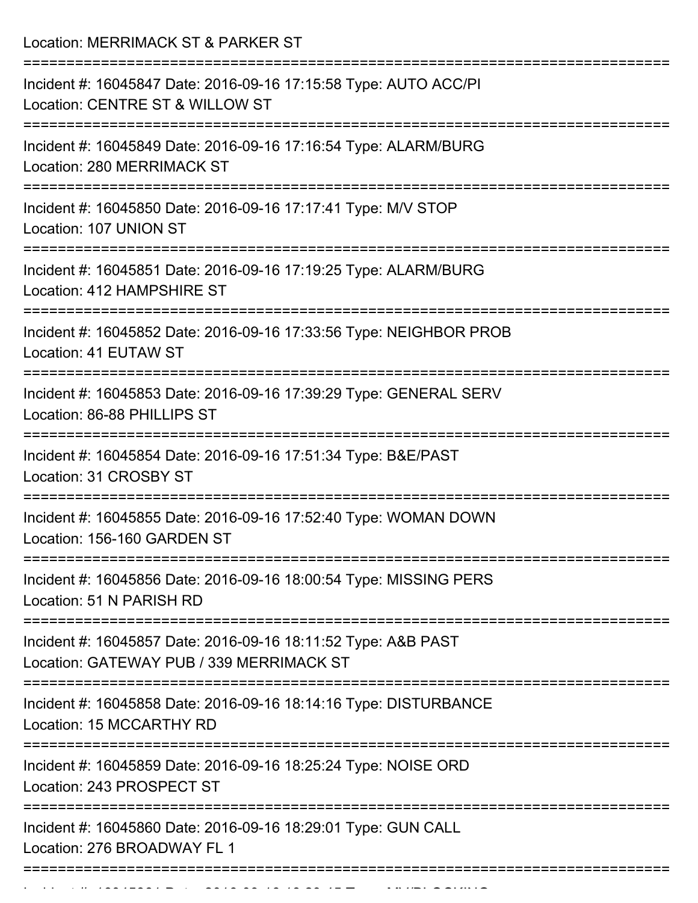Location: MERRIMACK ST & PARKER ST

| Incident #: 16045847 Date: 2016-09-16 17:15:58 Type: AUTO ACC/PI                                          |
|-----------------------------------------------------------------------------------------------------------|
| Location: CENTRE ST & WILLOW ST                                                                           |
| Incident #: 16045849 Date: 2016-09-16 17:16:54 Type: ALARM/BURG                                           |
| Location: 280 MERRIMACK ST                                                                                |
| Incident #: 16045850 Date: 2016-09-16 17:17:41 Type: M/V STOP                                             |
| Location: 107 UNION ST                                                                                    |
|                                                                                                           |
| Incident #: 16045851 Date: 2016-09-16 17:19:25 Type: ALARM/BURG<br>Location: 412 HAMPSHIRE ST             |
| Incident #: 16045852 Date: 2016-09-16 17:33:56 Type: NEIGHBOR PROB                                        |
| Location: 41 EUTAW ST                                                                                     |
|                                                                                                           |
| Incident #: 16045853 Date: 2016-09-16 17:39:29 Type: GENERAL SERV<br>Location: 86-88 PHILLIPS ST          |
|                                                                                                           |
| Incident #: 16045854 Date: 2016-09-16 17:51:34 Type: B&E/PAST<br>Location: 31 CROSBY ST                   |
|                                                                                                           |
| Incident #: 16045855 Date: 2016-09-16 17:52:40 Type: WOMAN DOWN<br>Location: 156-160 GARDEN ST            |
|                                                                                                           |
| Incident #: 16045856 Date: 2016-09-16 18:00:54 Type: MISSING PERS<br>Location: 51 N PARISH RD             |
|                                                                                                           |
| Incident #: 16045857 Date: 2016-09-16 18:11:52 Type: A&B PAST<br>Location: GATEWAY PUB / 339 MERRIMACK ST |
|                                                                                                           |
| Incident #: 16045858 Date: 2016-09-16 18:14:16 Type: DISTURBANCE<br>Location: 15 MCCARTHY RD              |
|                                                                                                           |
| Incident #: 16045859 Date: 2016-09-16 18:25:24 Type: NOISE ORD<br>Location: 243 PROSPECT ST               |
|                                                                                                           |
| Incident #: 16045860 Date: 2016-09-16 18:29:01 Type: GUN CALL<br>Location: 276 BROADWAY FL 1              |
|                                                                                                           |
|                                                                                                           |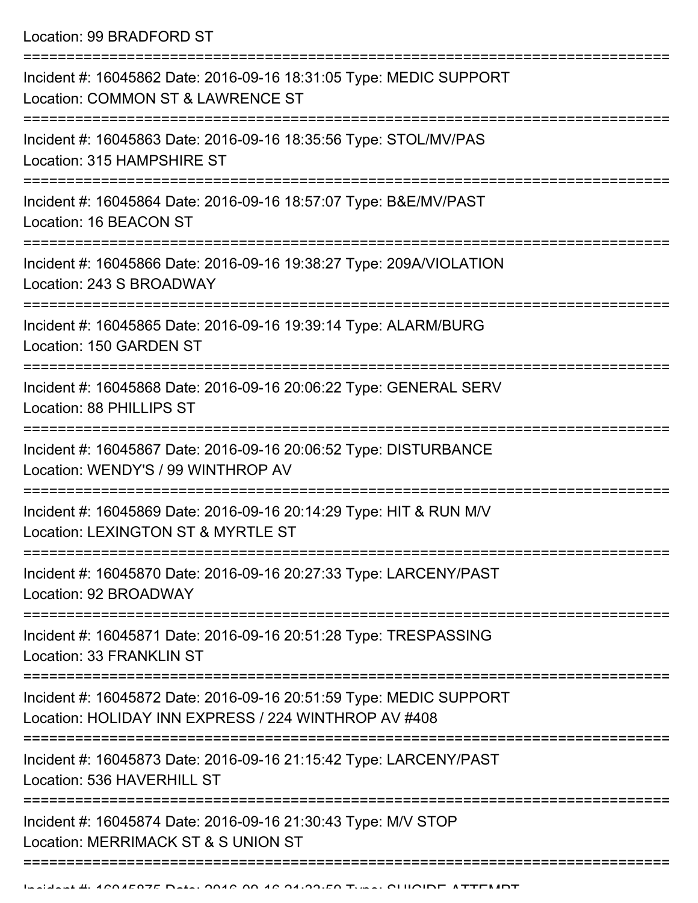Location: 99 BRADFORD ST

| Incident #: 16045862 Date: 2016-09-16 18:31:05 Type: MEDIC SUPPORT<br>Location: COMMON ST & LAWRENCE ST                    |
|----------------------------------------------------------------------------------------------------------------------------|
| Incident #: 16045863 Date: 2016-09-16 18:35:56 Type: STOL/MV/PAS<br>Location: 315 HAMPSHIRE ST                             |
| Incident #: 16045864 Date: 2016-09-16 18:57:07 Type: B&E/MV/PAST<br>Location: 16 BEACON ST                                 |
| Incident #: 16045866 Date: 2016-09-16 19:38:27 Type: 209A/VIOLATION<br>Location: 243 S BROADWAY                            |
| Incident #: 16045865 Date: 2016-09-16 19:39:14 Type: ALARM/BURG<br>Location: 150 GARDEN ST                                 |
| Incident #: 16045868 Date: 2016-09-16 20:06:22 Type: GENERAL SERV<br>Location: 88 PHILLIPS ST                              |
| Incident #: 16045867 Date: 2016-09-16 20:06:52 Type: DISTURBANCE<br>Location: WENDY'S / 99 WINTHROP AV                     |
| Incident #: 16045869 Date: 2016-09-16 20:14:29 Type: HIT & RUN M/V<br>Location: LEXINGTON ST & MYRTLE ST                   |
| Incident #: 16045870 Date: 2016-09-16 20:27:33 Type: LARCENY/PAST<br>Location: 92 BROADWAY                                 |
| Incident #: 16045871 Date: 2016-09-16 20:51:28 Type: TRESPASSING<br>Location: 33 FRANKLIN ST                               |
| Incident #: 16045872 Date: 2016-09-16 20:51:59 Type: MEDIC SUPPORT<br>Location: HOLIDAY INN EXPRESS / 224 WINTHROP AV #408 |
| Incident #: 16045873 Date: 2016-09-16 21:15:42 Type: LARCENY/PAST<br>Location: 536 HAVERHILL ST                            |
| Incident #: 16045874 Date: 2016-09-16 21:30:43 Type: M/V STOP<br>Location: MERRIMACK ST & S UNION ST                       |
|                                                                                                                            |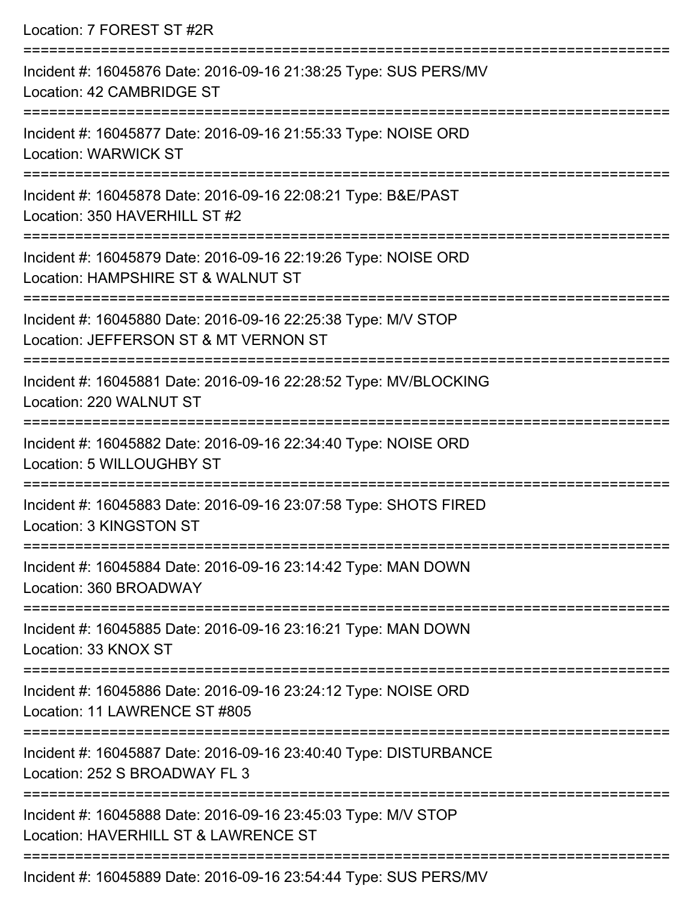| Location: 7 FOREST ST #2R                                                                                                             |
|---------------------------------------------------------------------------------------------------------------------------------------|
| Incident #: 16045876 Date: 2016-09-16 21:38:25 Type: SUS PERS/MV<br>Location: 42 CAMBRIDGE ST                                         |
| Incident #: 16045877 Date: 2016-09-16 21:55:33 Type: NOISE ORD<br><b>Location: WARWICK ST</b><br>------------------------------------ |
| Incident #: 16045878 Date: 2016-09-16 22:08:21 Type: B&E/PAST<br>Location: 350 HAVERHILL ST #2                                        |
| Incident #: 16045879 Date: 2016-09-16 22:19:26 Type: NOISE ORD<br>Location: HAMPSHIRE ST & WALNUT ST                                  |
| Incident #: 16045880 Date: 2016-09-16 22:25:38 Type: M/V STOP<br>Location: JEFFERSON ST & MT VERNON ST                                |
| Incident #: 16045881 Date: 2016-09-16 22:28:52 Type: MV/BLOCKING<br>Location: 220 WALNUT ST<br>:==================================    |
| Incident #: 16045882 Date: 2016-09-16 22:34:40 Type: NOISE ORD<br>Location: 5 WILLOUGHBY ST                                           |
| Incident #: 16045883 Date: 2016-09-16 23:07:58 Type: SHOTS FIRED<br>Location: 3 KINGSTON ST                                           |
| Incident #: 16045884 Date: 2016-09-16 23:14:42 Type: MAN DOWN<br>Location: 360 BROADWAY                                               |
| Incident #: 16045885 Date: 2016-09-16 23:16:21 Type: MAN DOWN<br>Location: 33 KNOX ST                                                 |
| Incident #: 16045886 Date: 2016-09-16 23:24:12 Type: NOISE ORD<br>Location: 11 LAWRENCE ST #805                                       |
| Incident #: 16045887 Date: 2016-09-16 23:40:40 Type: DISTURBANCE<br>Location: 252 S BROADWAY FL 3                                     |
| Incident #: 16045888 Date: 2016-09-16 23:45:03 Type: M/V STOP<br>Location: HAVERHILL ST & LAWRENCE ST                                 |
|                                                                                                                                       |

Incident #: 16045889 Date: 2016-09-16 23:54:44 Type: SUS PERS/MV